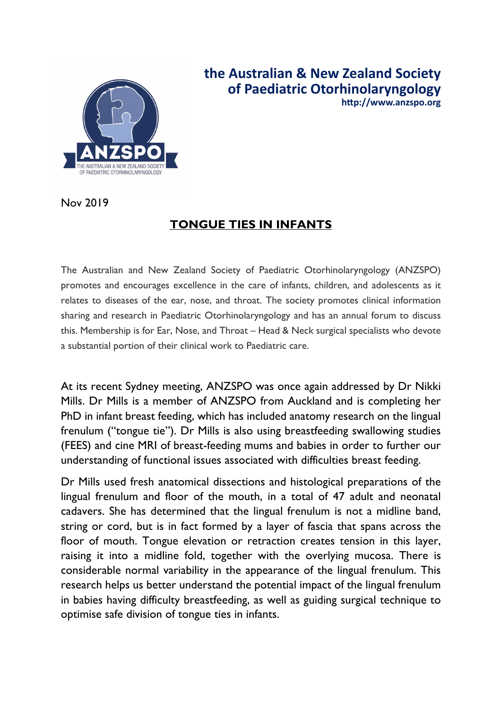

**the Australian & New Zealand Society of Paediatric Otorhinolaryngology h:p://www.anzspo.org**

Nov 2019

## **TONGUE TIES IN INFANTS**

The Australian and New Zealand Society of Paediatric Otorhinolaryngology (ANZSPO) promotes and encourages excellence in the care of infants, children, and adolescents as it relates to diseases of the ear, nose, and throat. The society promotes clinical information sharing and research in Paediatric Otorhinolaryngology and has an annual forum to discuss this. Membership is for Ear, Nose, and Throat – Head & Neck surgical specialists who devote a substantial portion of their clinical work to Paediatric care.

At its recent Sydney meeting, ANZSPO was once again addressed by Dr Nikki Mills. Dr Mills is a member of ANZSPO from Auckland and is completing her PhD in infant breast feeding, which has included anatomy research on the lingual frenulum ("tongue tie"). Dr Mills is also using breastfeeding swallowing studies (FEES) and cine MRI of breast-feeding mums and babies in order to further our understanding of functional issues associated with difficulties breast feeding.

Dr Mills used fresh anatomical dissections and histological preparations of the lingual frenulum and floor of the mouth, in a total of 47 adult and neonatal cadavers. She has determined that the lingual frenulum is not a midline band, string or cord, but is in fact formed by a layer of fascia that spans across the floor of mouth. Tongue elevation or retraction creates tension in this layer, raising it into a midline fold, together with the overlying mucosa. There is considerable normal variability in the appearance of the lingual frenulum. This research helps us better understand the potential impact of the lingual frenulum in babies having difficulty breastfeeding, as well as guiding surgical technique to optimise safe division of tongue ties in infants.